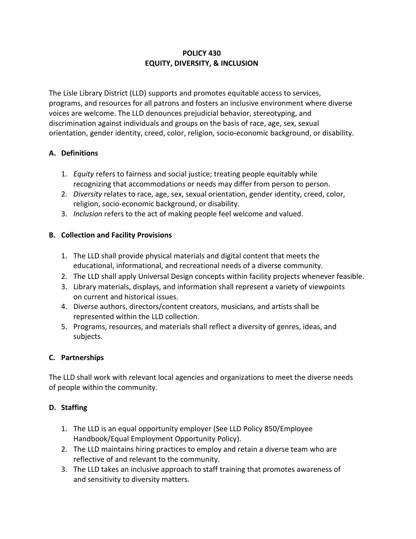### **POLICY 430 EQUITY, DIVERSITY, & INCLUSION**

The Lisle Library District (LLD) supports and promotes equitable access to services, programs, and resources for all patrons and fosters an inclusive environment where diverse voices are welcome. The LLD denounces prejudicial behavior, stereotyping, and discrimination against individuals and groups on the basis of race, age, sex, sexual orientation, gender identity, creed, color, religion, socio-economic background, or disability.

### **A. Definitions**

- 1. *Equity* refers to fairness and social justice; treating people equitably while recognizing that accommodations or needs may differ from person to person.
- 2. *Diversity* relates to race, age, sex, sexual orientation, gender identity, creed, color, religion, socio-economic background, or disability.
- 3. *Inclusion* refers to the act of making people feel welcome and valued.

## **B. Collection and Facility Provisions**

- 1. The LLD shall provide physical materials and digital content that meets the educational, informational, and recreational needs of a diverse community.
- 2. The LLD shall apply Universal Design concepts within facility projects whenever feasible.
- 3. Library materials, displays, and information shall represent a variety of viewpoints on current and historical issues.
- 4. Diverse authors, directors/content creators, musicians, and artists shall be represented within the LLD collection.
- 5. Programs, resources, and materials shall reflect a diversity of genres, ideas, and subjects.

# **C. Partnerships**

The LLD shall work with relevant local agencies and organizations to meet the diverse needs of people within the community.

### **D. Staffing**

- 1. The LLD is an equal opportunity employer (See LLD Policy 850/Employee Handbook/Equal Employment Opportunity Policy).
- 2. The LLD maintains hiring practices to employ and retain a diverse team who are reflective of and relevant to the community.
- 3. The LLD takes an inclusive approach to staff training that promotes awareness of and sensitivity to diversity matters.